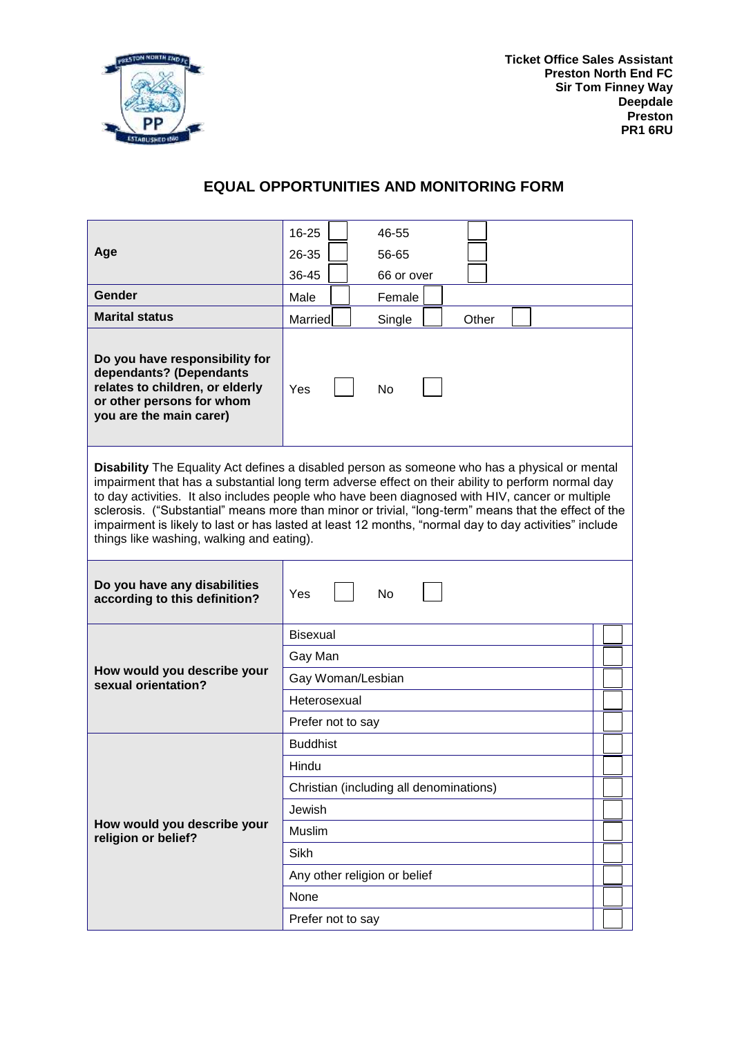

**Ticket Office Sales Assistant Preston North End FC Sir Tom Finney Way Deepdale Preston PR1 6RU**

## **EQUAL OPPORTUNITIES AND MONITORING FORM**

|                                                                                                                                                                                                                                                                                                                                                                                                                                                                                                                                                                     | 16-25             | 46-55                                   |       |  |  |  |
|---------------------------------------------------------------------------------------------------------------------------------------------------------------------------------------------------------------------------------------------------------------------------------------------------------------------------------------------------------------------------------------------------------------------------------------------------------------------------------------------------------------------------------------------------------------------|-------------------|-----------------------------------------|-------|--|--|--|
| Age                                                                                                                                                                                                                                                                                                                                                                                                                                                                                                                                                                 | 26-35             | 56-65                                   |       |  |  |  |
|                                                                                                                                                                                                                                                                                                                                                                                                                                                                                                                                                                     | 36-45             | 66 or over                              |       |  |  |  |
| <b>Gender</b>                                                                                                                                                                                                                                                                                                                                                                                                                                                                                                                                                       | Male              | Female                                  |       |  |  |  |
| <b>Marital status</b>                                                                                                                                                                                                                                                                                                                                                                                                                                                                                                                                               | Married           | Single                                  | Other |  |  |  |
| Do you have responsibility for<br>dependants? (Dependants<br>relates to children, or elderly<br>or other persons for whom<br>you are the main carer)                                                                                                                                                                                                                                                                                                                                                                                                                | Yes               | No                                      |       |  |  |  |
| Disability The Equality Act defines a disabled person as someone who has a physical or mental<br>impairment that has a substantial long term adverse effect on their ability to perform normal day<br>to day activities. It also includes people who have been diagnosed with HIV, cancer or multiple<br>sclerosis. ("Substantial" means more than minor or trivial, "long-term" means that the effect of the<br>impairment is likely to last or has lasted at least 12 months, "normal day to day activities" include<br>things like washing, walking and eating). |                   |                                         |       |  |  |  |
| Do you have any disabilities                                                                                                                                                                                                                                                                                                                                                                                                                                                                                                                                        | Yes               | No                                      |       |  |  |  |
| according to this definition?                                                                                                                                                                                                                                                                                                                                                                                                                                                                                                                                       |                   |                                         |       |  |  |  |
|                                                                                                                                                                                                                                                                                                                                                                                                                                                                                                                                                                     | <b>Bisexual</b>   |                                         |       |  |  |  |
|                                                                                                                                                                                                                                                                                                                                                                                                                                                                                                                                                                     | Gay Man           |                                         |       |  |  |  |
| How would you describe your                                                                                                                                                                                                                                                                                                                                                                                                                                                                                                                                         | Gay Woman/Lesbian |                                         |       |  |  |  |
| sexual orientation?                                                                                                                                                                                                                                                                                                                                                                                                                                                                                                                                                 | Heterosexual      |                                         |       |  |  |  |
|                                                                                                                                                                                                                                                                                                                                                                                                                                                                                                                                                                     | Prefer not to say |                                         |       |  |  |  |
|                                                                                                                                                                                                                                                                                                                                                                                                                                                                                                                                                                     | <b>Buddhist</b>   |                                         |       |  |  |  |
|                                                                                                                                                                                                                                                                                                                                                                                                                                                                                                                                                                     | Hindu             |                                         |       |  |  |  |
|                                                                                                                                                                                                                                                                                                                                                                                                                                                                                                                                                                     |                   | Christian (including all denominations) |       |  |  |  |
|                                                                                                                                                                                                                                                                                                                                                                                                                                                                                                                                                                     | Jewish            |                                         |       |  |  |  |
| How would you describe your                                                                                                                                                                                                                                                                                                                                                                                                                                                                                                                                         | Muslim            |                                         |       |  |  |  |
| religion or belief?                                                                                                                                                                                                                                                                                                                                                                                                                                                                                                                                                 | Sikh              |                                         |       |  |  |  |
|                                                                                                                                                                                                                                                                                                                                                                                                                                                                                                                                                                     |                   | Any other religion or belief            |       |  |  |  |
|                                                                                                                                                                                                                                                                                                                                                                                                                                                                                                                                                                     | None              |                                         |       |  |  |  |